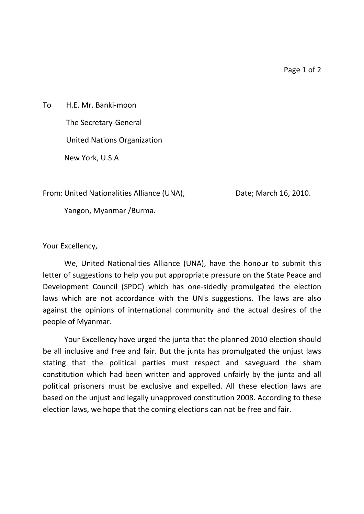Page 1 of 2

To H.E. Mr. Banki‐moon The Secretary‐General United Nations Organization New York, U.S.A

From: United Nationalities Alliance (UNA), Date; March 16, 2010.

Yangon, Myanmar /Burma.

Your Excellency,

We, United Nationalities Alliance (UNA), have the honour to submit this letter of suggestions to help you put appropriate pressure on the State Peace and Development Council (SPDC) which has one‐sidedly promulgated the election laws which are not accordance with the UN's suggestions. The laws are also against the opinions of international community and the actual desires of the people of Myanmar.

Your Excellency have urged the junta that the planned 2010 election should be all inclusive and free and fair. But the junta has promulgated the unjust laws stating that the political parties must respect and saveguard the sham constitution which had been written and approved unfairly by the junta and all political prisoners must be exclusive and expelled. All these election laws are based on the unjust and legally unapproved constitution 2008. According to these election laws, we hope that the coming elections can not be free and fair.